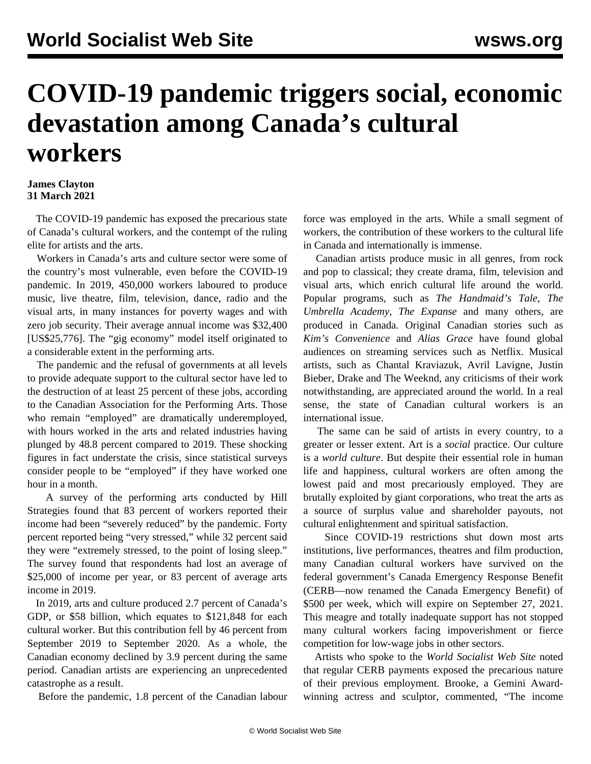## **COVID-19 pandemic triggers social, economic devastation among Canada's cultural workers**

## **James Clayton 31 March 2021**

 The COVID-19 pandemic has exposed the precarious state of Canada's cultural workers, and the contempt of the ruling elite for artists and the arts.

 Workers in Canada's arts and culture sector were some of the country's most vulnerable, even before the COVID-19 pandemic. In 2019, 450,000 workers laboured to produce music, live theatre, film, television, dance, radio and the visual arts, in many instances for poverty wages and with zero job security. Their average annual income was \$32,400 [US\$25,776]. The "gig economy" model itself originated to a considerable extent in the performing arts.

 The pandemic and the refusal of governments at all levels to provide adequate support to the cultural sector have led to the destruction of at least 25 percent of these jobs, according to the Canadian Association for the Performing Arts. Those who remain "employed" are dramatically underemployed, with hours worked in the arts and related industries having plunged by 48.8 percent compared to 2019. These shocking figures in fact understate the crisis, since statistical surveys consider people to be "employed" if they have worked one hour in a month.

 A survey of the performing arts conducted by Hill Strategies found that 83 percent of workers reported their income had been "severely reduced" by the pandemic. Forty percent reported being "very stressed," while 32 percent said they were "extremely stressed, to the point of losing sleep." The survey found that respondents had lost an average of \$25,000 of income per year, or 83 percent of average arts income in 2019.

 In 2019, arts and culture produced 2.7 percent of Canada's GDP, or \$58 billion, which equates to \$121,848 for each cultural worker. But this contribution fell by 46 percent from September 2019 to September 2020. As a whole, the Canadian economy declined by 3.9 percent during the same period. Canadian artists are experiencing an unprecedented catastrophe as a result.

Before the pandemic, 1.8 percent of the Canadian labour

force was employed in the arts. While a small segment of workers, the contribution of these workers to the cultural life in Canada and internationally is immense.

 Canadian artists produce music in all genres, from rock and pop to classical; they create drama, film, television and visual arts, which enrich cultural life around the world. Popular programs, such as *The Handmaid's Tale*, *The Umbrella Academy*, *The Expanse* and many others, are produced in Canada. Original Canadian stories such as *Kim's Convenience* and *Alias Grace* have found global audiences on streaming services such as Netflix. Musical artists, such as Chantal Kraviazuk, Avril Lavigne, Justin Bieber, Drake and The Weeknd, any criticisms of their work notwithstanding, are appreciated around the world. In a real sense, the state of Canadian cultural workers is an international issue.

 The same can be said of artists in every country, to a greater or lesser extent. Art is a *social* practice. Our culture is a *world culture*. But despite their essential role in human life and happiness, cultural workers are often among the lowest paid and most precariously employed. They are brutally exploited by giant corporations, who treat the arts as a source of surplus value and shareholder payouts, not cultural enlightenment and spiritual satisfaction.

 Since COVID-19 restrictions shut down most arts institutions, live performances, theatres and film production, many Canadian cultural workers have survived on the federal government's Canada Emergency Response Benefit (CERB—now renamed the Canada Emergency Benefit) of \$500 per week, which will expire on September 27, 2021. This meagre and totally inadequate support has not stopped many cultural workers facing impoverishment or fierce competition for low-wage jobs in other sectors.

 Artists who spoke to the *World Socialist Web Site* noted that regular CERB payments exposed the precarious nature of their previous employment. Brooke, a Gemini Awardwinning actress and sculptor, commented, "The income